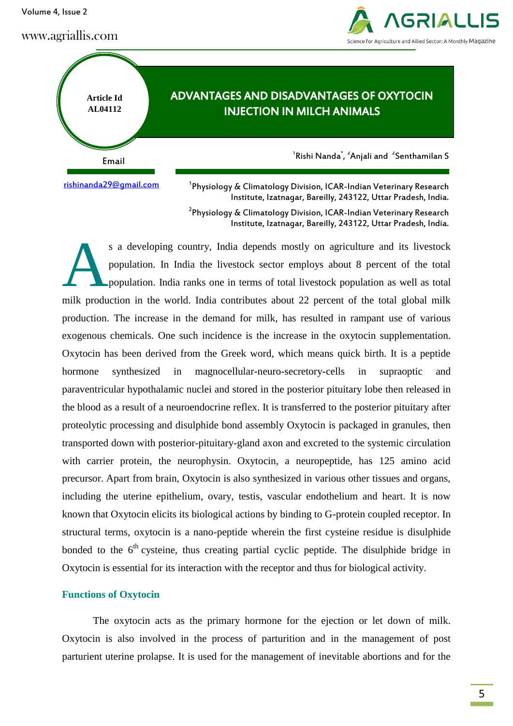Volume 4, Issue 2

# www.agriallis.com





<sup>1</sup>Physiology & Climatology Division, ICAR-Indian Veterinary Research Institute, Izatnagar, Bareilly, 243122, Uttar Pradesh, India.

 $^{2}$ Physiology & Climatology Division, ICAR-Indian Veterinary Research Institute, Izatnagar, Bareilly, 243122, Uttar Pradesh, India.

s a developing country, India depends mostly on agriculture and its livestock population. In India the livestock sector employs about 8 percent of the total population. India ranks one in terms of total livestock population as well as total milk production in the world. India contributes about 22 percent of the total global milk production. The increase in the demand for milk, has resulted in rampant use of various exogenous chemicals. One such incidence is the increase in the oxytocin supplementation. Oxytocin has been derived from the Greek word, which means quick birth. It is a peptide hormone synthesized in magnocellular-neuro-secretory-cells in supraoptic and paraventricular hypothalamic nuclei and stored in the posterior pituitary lobe then released in the blood as a result of a neuroendocrine reflex. It is transferred to the posterior pituitary after proteolytic processing and disulphide bond assembly Oxytocin is packaged in granules, then transported down with posterior-pituitary-gland axon and excreted to the systemic circulation with carrier protein, the neurophysin. Oxytocin, a neuropeptide, has 125 amino acid precursor. Apart from brain, Oxytocin is also synthesized in various other tissues and organs, including the uterine epithelium, ovary, testis, vascular endothelium and heart. It is now known that Oxytocin elicits its biological actions by binding to G-protein coupled receptor. In structural terms, oxytocin is a nano-peptide wherein the first cysteine residue is disulphide bonded to the  $6<sup>th</sup>$  cysteine, thus creating partial cyclic peptide. The disulphide bridge in Oxytocin is essential for its interaction with the receptor and thus for biological activity. A

### **Functions of Oxytocin**

The oxytocin acts as the primary hormone for the ejection or let down of milk. Oxytocin is also involved in the process of parturition and in the management of post parturient uterine prolapse. It is used for the management of inevitable abortions and for the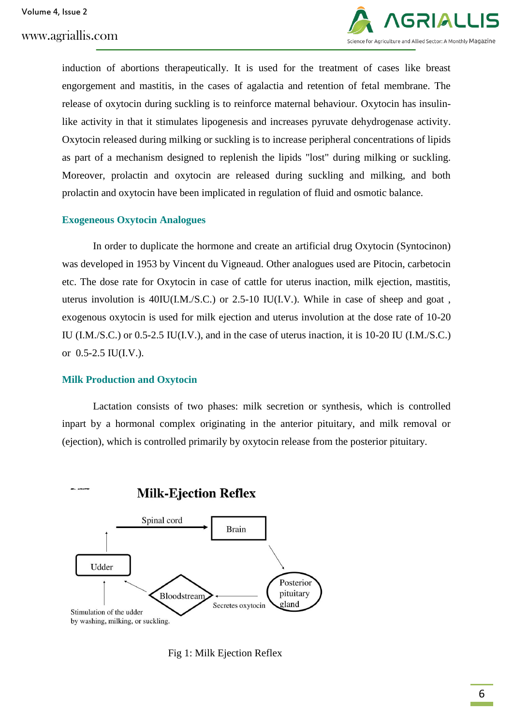

induction of abortions therapeutically. It is used for the treatment of cases like breast engorgement and mastitis, in the cases of agalactia and retention of fetal membrane. The release of oxytocin during suckling is to reinforce maternal behaviour. Oxytocin has insulinlike activity in that it stimulates lipogenesis and increases pyruvate dehydrogenase activity. Oxytocin released during milking or suckling is to increase peripheral concentrations of lipids as part of a mechanism designed to replenish the lipids "lost" during milking or suckling. Moreover, prolactin and oxytocin are released during suckling and milking, and both prolactin and oxytocin have been implicated in regulation of fluid and osmotic balance.

### **Exogeneous Oxytocin Analogues**

In order to duplicate the hormone and create an artificial drug Oxytocin (Syntocinon) was developed in 1953 by Vincent du Vigneaud. Other analogues used are Pitocin, carbetocin etc. The dose rate for Oxytocin in case of cattle for uterus inaction, milk ejection, mastitis, uterus involution is 40IU(I.M./S.C.) or 2.5-10 IU(I.V.). While in case of sheep and goat , exogenous oxytocin is used for milk ejection and uterus involution at the dose rate of 10-20 IU (I.M./S.C.) or 0.5-2.5 IU(I.V.), and in the case of uterus inaction, it is 10-20 IU (I.M./S.C.) or 0.5-2.5 IU(I.V.).

### **Milk Production and Oxytocin**

Lactation consists of two phases: milk secretion or synthesis, which is controlled inpart by a hormonal complex originating in the anterior pituitary, and milk removal or (ejection), which is controlled primarily by oxytocin release from the posterior pituitary.



Fig 1: Milk Ejection Reflex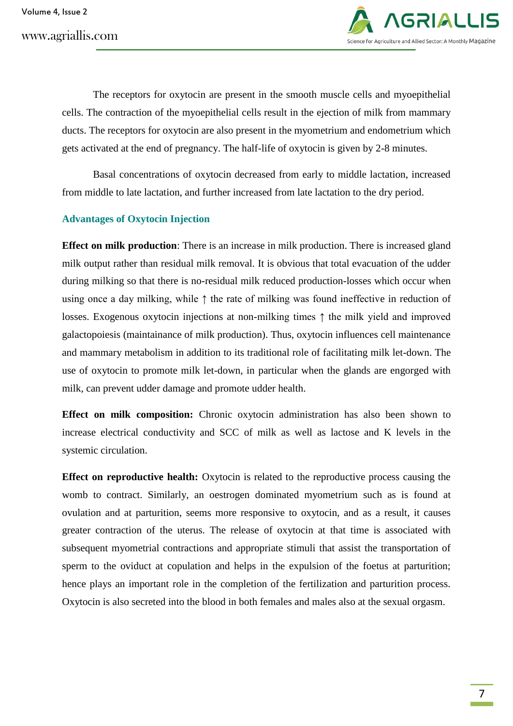www.agriallis.com



The receptors for oxytocin are present in the smooth muscle cells and myoepithelial cells. The contraction of the myoepithelial cells result in the ejection of milk from mammary ducts. The receptors for oxytocin are also present in the myometrium and endometrium which gets activated at the end of pregnancy. The half-life of oxytocin is given by 2-8 minutes.

Basal concentrations of oxytocin decreased from early to middle lactation, increased from middle to late lactation, and further increased from late lactation to the dry period.

# **Advantages of Oxytocin Injection**

**Effect on milk production**: There is an increase in milk production. There is increased gland milk output rather than residual milk removal. It is obvious that total evacuation of the udder during milking so that there is no-residual milk reduced production-losses which occur when using once a day milking, while ↑ the rate of milking was found ineffective in reduction of losses. Exogenous oxytocin injections at non-milking times ↑ the milk yield and improved galactopoiesis (maintainance of milk production). Thus, oxytocin influences cell maintenance and mammary metabolism in addition to its traditional role of facilitating milk let-down. The use of oxytocin to promote milk let-down, in particular when the glands are engorged with milk, can prevent udder damage and promote udder health.

**Effect on milk composition:** Chronic oxytocin administration has also been shown to increase electrical conductivity and SCC of milk as well as lactose and K levels in the systemic circulation.

**Effect on reproductive health:** Oxytocin is related to the reproductive process causing the womb to contract. Similarly, an oestrogen dominated myometrium such as is found at ovulation and at parturition, seems more responsive to oxytocin, and as a result, it causes greater contraction of the uterus. The release of oxytocin at that time is associated with subsequent myometrial contractions and appropriate stimuli that assist the transportation of sperm to the oviduct at copulation and helps in the expulsion of the foetus at parturition; hence plays an important role in the completion of the fertilization and parturition process. Oxytocin is also secreted into the blood in both females and males also at the sexual orgasm.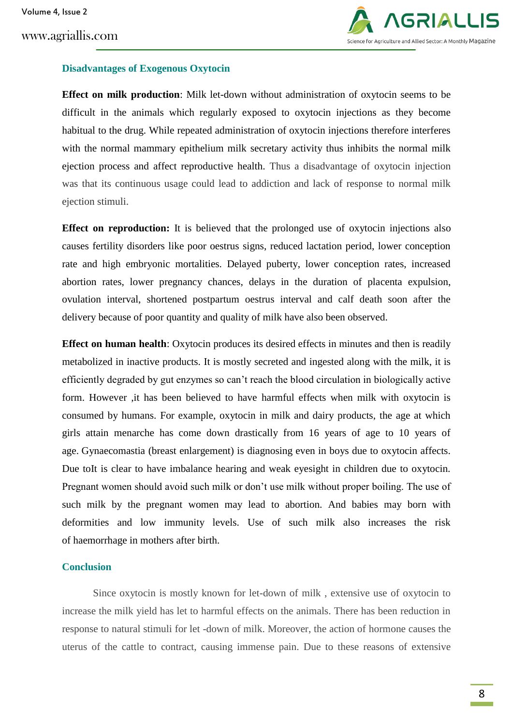

### **Disadvantages of Exogenous Oxytocin**

**Effect on milk production**: Milk let-down without administration of oxytocin seems to be difficult in the animals which regularly exposed to oxytocin injections as they become habitual to the drug. While repeated administration of oxytocin injections therefore interferes with the normal mammary epithelium milk secretary activity thus inhibits the normal milk ejection process and affect reproductive health. Thus a disadvantage of oxytocin injection was that its continuous usage could lead to addiction and lack of response to normal milk ejection stimuli.

**Effect on reproduction:** It is believed that the prolonged use of oxytocin injections also causes fertility disorders like poor oestrus signs, reduced lactation period, lower conception rate and high embryonic mortalities. Delayed puberty, lower conception rates, increased abortion rates, lower pregnancy chances, delays in the duration of placenta expulsion, ovulation interval, shortened postpartum oestrus interval and calf death soon after the delivery because of poor quantity and quality of milk have also been observed.

**Effect on human health:** Oxytocin produces its desired effects in minutes and then is readily metabolized in inactive products. It is mostly secreted and ingested along with the milk, it is efficiently degraded by gut enzymes so can't reach the blood circulation in biologically active form. However ,it has been believed to have harmful effects when milk with oxytocin is consumed by humans. For example, oxytocin in milk and dairy products, the age at which girls attain menarche has come down drastically from 16 years of age to 10 years of age. Gynaecomastia (breast enlargement) is diagnosing even in boys due to oxytocin affects. Due toIt is clear to have imbalance hearing and weak eyesight in children due to oxytocin. Pregnant women should avoid such milk or don't use milk without proper boiling. The use of such milk by the pregnant women may lead to abortion. And babies may born with deformities and low immunity levels. Use of such milk also increases the risk of [haemorrhage](https://www.technologytimes.pk/blood-transfusion-in-dogs/) in mothers after birth.

### **Conclusion**

Since oxytocin is mostly known for let-down of milk , extensive use of oxytocin to increase the milk yield has let to harmful effects on the animals. There has been reduction in response to natural stimuli for let -down of milk. Moreover, the action of hormone causes the uterus of the cattle to contract, causing immense pain. Due to these reasons of extensive